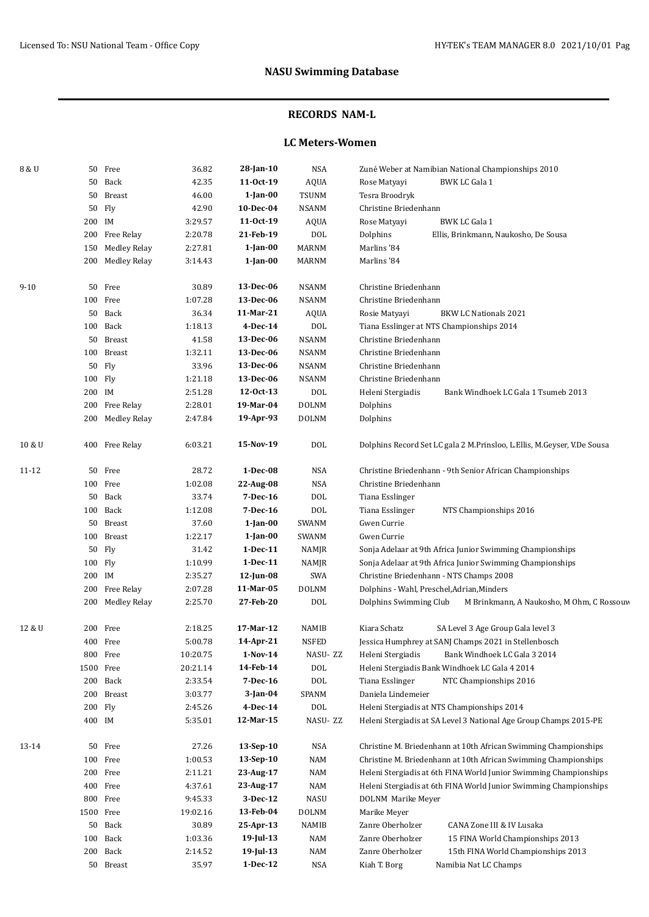### **RECORDS NAM-L**

### **LC Meters-Women**

| 8 & U    |         | 50 Free             | 36.82    | 28-Jan-10      | <b>NSA</b>   | Zuné Weber at Namibian National Championships 2010                      |
|----------|---------|---------------------|----------|----------------|--------------|-------------------------------------------------------------------------|
|          | 50      | Back                | 42.35    | 11-0ct-19      | <b>AQUA</b>  | <b>BWK LC Gala 1</b><br>Rose Matyayi                                    |
|          | 50      | <b>Breast</b>       | 46.00    | $1$ -Jan- $00$ | <b>TSUNM</b> | Tesra Broodryk                                                          |
|          | 50      | Fly                 | 42.90    | 10-Dec-04      | <b>NSANM</b> | Christine Briedenhann                                                   |
|          | 200 IM  |                     | 3:29.57  | 11-0ct-19      | AQUA         | <b>BWK LC Gala 1</b><br>Rose Matyayi                                    |
|          | 200     | Free Relay          | 2:20.78  | 21-Feb-19      | <b>DOL</b>   | Dolphins<br>Ellis, Brinkmann, Naukosho, De Sousa                        |
|          | 150     | <b>Medley Relay</b> | 2:27.81  | $1$ -Jan- $00$ | <b>MARNM</b> | Marlins '84                                                             |
|          | 200     | Medley Relay        | 3:14.43  | $1$ -Jan-00    | <b>MARNM</b> | Marlins '84                                                             |
|          |         |                     |          |                |              |                                                                         |
| $9 - 10$ |         | 50 Free             | 30.89    | 13-Dec-06      | <b>NSANM</b> | Christine Briedenhann                                                   |
|          |         | 100 Free            | 1:07.28  | 13-Dec-06      | <b>NSANM</b> | Christine Briedenhann                                                   |
|          | 50      | Back                | 36.34    | 11-Mar-21      | AQUA         | <b>BKW LC Nationals 2021</b><br>Rosie Matyayi                           |
|          |         | 100 Back            | 1:18.13  | 4-Dec-14       | <b>DOL</b>   | Tiana Esslinger at NTS Championships 2014                               |
|          |         | 50 Breast           | 41.58    | 13-Dec-06      | <b>NSANM</b> | Christine Briedenhann                                                   |
|          | 100     | Breast              | 1:32.11  | 13-Dec-06      | <b>NSANM</b> | Christine Briedenhann                                                   |
|          | 50      | Fly                 | 33.96    | 13-Dec-06      | <b>NSANM</b> | Christine Briedenhann                                                   |
|          | 100 Fly |                     | 1:21.18  | 13-Dec-06      | <b>NSANM</b> | Christine Briedenhann                                                   |
|          | 200 IM  |                     | 2:51.28  | 12-0ct-13      | $\text{DOL}$ | Heleni Stergiadis<br>Bank Windhoek LC Gala 1 Tsumeb 2013                |
|          | 200     | Free Relay          | 2:28.01  | 19-Mar-04      | <b>DOLNM</b> | Dolphins                                                                |
|          | 200     | Medley Relay        | 2:47.84  | 19-Apr-93      | <b>DOLNM</b> | Dolphins                                                                |
| 10 & U   |         | 400 Free Relay      | 6:03.21  | 15-Nov-19      | <b>DOL</b>   | Dolphins Record Set LC gala 2 M.Prinsloo, L.Ellis, M.Geyser, V.De Sousa |
| 11-12    | 50      | Free                | 28.72    | $1-Dec-08$     | NSA          | Christine Briedenhann - 9th Senior African Championships                |
|          |         | 100 Free            | 1:02.08  | 22-Aug-08      | <b>NSA</b>   | Christine Briedenhann                                                   |
|          | 50      | Back                | 33.74    | 7-Dec-16       | <b>DOL</b>   | Tiana Esslinger                                                         |
|          |         | 100 Back            | 1:12.08  | 7-Dec-16       | <b>DOL</b>   | Tiana Esslinger<br>NTS Championships 2016                               |
|          |         | 50 Breast           | 37.60    | $1$ -Jan- $00$ | SWANM        | Gwen Currie                                                             |
|          | 100     | <b>Breast</b>       | 1:22.17  | $1$ -Jan-00    | <b>SWANM</b> | Gwen Currie                                                             |
|          | 50      | Fly                 | 31.42    | $1-Dec-11$     | NAMJR        | Sonja Adelaar at 9th Africa Junior Swimming Championships               |
|          | 100     | Fly                 | 1:10.99  | $1-Dec-11$     | NAMJR        | Sonja Adelaar at 9th Africa Junior Swimming Championships               |
|          | 200 IM  |                     | 2:35.27  | 12-Jun-08      | SWA          | Christine Briedenhann - NTS Champs 2008                                 |
|          | 200     | Free Relay          | 2:07.28  | 11-Mar-05      | <b>DOLNM</b> | Dolphins - Wahl, Preschel, Adrian, Minders                              |
|          | 200     | <b>Medley Relay</b> | 2:25.70  | 27-Feb-20      | <b>DOL</b>   | Dolphins Swimming Club<br>M Brinkmann, A Naukosho, M Ohm, C Rossouv     |
| 12 & U   | 200     | Free                | 2:18.25  | 17-Mar-12      | NAMIB        | Kiara Schatz<br>SA Level 3 Age Group Gala level 3                       |
|          |         | 400 Free            | 5:00.78  | 14-Apr-21      | <b>NSFED</b> | Jessica Humphrey at SANJ Champs 2021 in Stellenbosch                    |
|          |         | 800 Free            | 10:20.75 | $1-Nov-14$     | NASU-ZZ      | Heleni Stergiadis<br>Bank Windhoek LC Gala 3 2014                       |
|          | 1500    | Free                | 20:21.14 | 14-Feb-14      | <b>DOL</b>   | Heleni Stergiadis Bank Windhoek LC Gala 4 2014                          |
|          | 200     | Back                | 2:33.54  | 7-Dec-16       | <b>DOL</b>   | Tiana Esslinger<br>NTC Championships 2016                               |
|          | 200     | <b>Breast</b>       | 3:03.77  | $3$ -Jan-04    | SPANM        | Daniela Lindemeier                                                      |
|          | 200     | Fly                 | 2:45.26  | 4-Dec-14       | <b>DOL</b>   | Heleni Stergiadis at NTS Championships 2014                             |
|          | 400 IM  |                     | 5:35.01  | 12-Mar-15      | NASU-ZZ      | Heleni Stergiadis at SA Level 3 National Age Group Champs 2015-PE       |
|          |         |                     |          |                |              |                                                                         |
| 13-14    | 50      | Free                | 27.26    | 13-Sep-10      | NSA          | Christine M. Briedenhann at 10th African Swimming Championships         |
|          | 100     | Free                | 1:00.53  | 13-Sep-10      | NAM          | Christine M. Briedenhann at 10th African Swimming Championships         |
|          | 200     | Free                | 2:11.21  | 23-Aug-17      | <b>NAM</b>   | Heleni Stergiadis at 6th FINA World Junior Swimming Championships       |
|          | 400     | Free                | 4:37.61  | 23-Aug-17      | <b>NAM</b>   | Heleni Stergiadis at 6th FINA World Junior Swimming Championships       |
|          | 800     | Free                | 9:45.33  | 3-Dec-12       | <b>NASU</b>  | DOLNM Marike Meyer                                                      |
|          | 1500    | Free                | 19:02.16 | 13-Feb-04      | <b>DOLNM</b> | Marike Meyer                                                            |
|          | 50      | Back                | 30.89    | 25-Apr-13      | NAMIB        | Zanre Oberholzer<br>CANA Zone III & IV Lusaka                           |
|          | 100     | Back                | 1:03.36  | $19$ -Jul-13   | NAM          | Zanre Oberholzer<br>15 FINA World Championships 2013                    |
|          | 200     | Back                | 2:14.52  | 19-Jul-13      | <b>NAM</b>   | Zanre Oberholzer<br>15th FINA World Championships 2013                  |
|          | 50      | Breast              | 35.97    | $1-Dec-12$     | NSA          | Kiah T. Borg<br>Namibia Nat LC Champs                                   |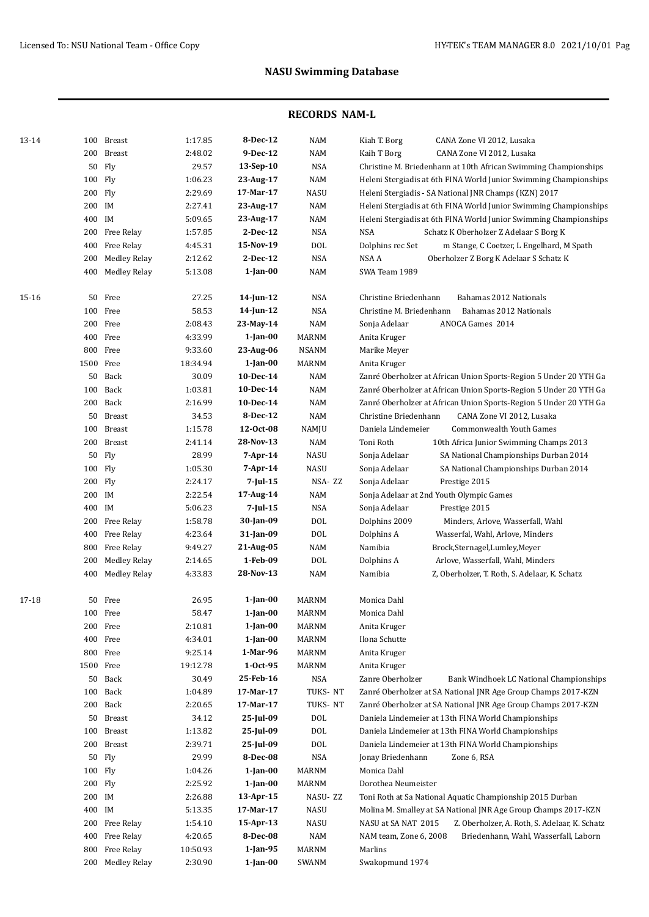| 13-14 |           | 100 Breast          | 1:17.85  | 8-Dec-12        | <b>NAM</b>   | Kiah T. Borg<br>CANA Zone VI 2012, Lusaka                            |
|-------|-----------|---------------------|----------|-----------------|--------------|----------------------------------------------------------------------|
|       | 200       | <b>Breast</b>       | 2:48.02  | 9-Dec-12        | <b>NAM</b>   | Kaih T Borg<br>CANA Zone VI 2012, Lusaka                             |
|       | 50        | Fly                 | 29.57    | 13-Sep-10       | <b>NSA</b>   | Christine M. Briedenhann at 10th African Swimming Championships      |
|       | 100 Fly   |                     | 1:06.23  | 23-Aug-17       | <b>NAM</b>   | Heleni Stergiadis at 6th FINA World Junior Swimming Championships    |
|       | 200 Fly   |                     | 2:29.69  | 17-Mar-17       | <b>NASU</b>  | Heleni Stergiadis - SA National JNR Champs (KZN) 2017                |
|       | 200 IM    |                     | 2:27.41  | 23-Aug-17       | <b>NAM</b>   | Heleni Stergiadis at 6th FINA World Junior Swimming Championships    |
|       | 400 IM    |                     | 5:09.65  | 23-Aug-17       | <b>NAM</b>   | Heleni Stergiadis at 6th FINA World Junior Swimming Championships    |
|       |           | 200 Free Relay      | 1:57.85  | 2-Dec-12        | <b>NSA</b>   | <b>NSA</b><br>Schatz K Oberholzer Z Adelaar S Borg K                 |
|       | 400       | Free Relay          | 4:45.31  | 15-Nov-19       | DOL          | Dolphins rec Set<br>m Stange, C Coetzer, L Engelhard, M Spath        |
|       | 200       | <b>Medley Relay</b> | 2:12.62  | 2-Dec-12        | <b>NSA</b>   | NSA A<br>Oberholzer Z Borg K Adelaar S Schatz K                      |
|       | 400       | Medley Relay        | 5:13.08  | $1$ -Jan-00     | <b>NAM</b>   | SWA Team 1989                                                        |
| 15-16 | 50        | Free                | 27.25    | $14$ -Jun-12    | <b>NSA</b>   | Christine Briedenhann<br>Bahamas 2012 Nationals                      |
|       |           | 100 Free            | 58.53    | $14$ -Jun- $12$ | <b>NSA</b>   | Christine M. Briedenhann<br>Bahamas 2012 Nationals                   |
|       |           | 200 Free            | 2:08.43  | 23-May-14       | <b>NAM</b>   | Sonja Adelaar<br>ANOCA Games 2014                                    |
|       |           | 400 Free            | 4:33.99  | $1$ -Jan- $00$  | MARNM        | Anita Kruger                                                         |
|       |           | 800 Free            | 9:33.60  | 23-Aug-06       | <b>NSANM</b> | Marike Meyer                                                         |
|       | 1500 Free |                     | 18:34.94 | $1$ -Jan- $00$  | MARNM        | Anita Kruger                                                         |
|       |           | 50 Back             | 30.09    | 10-Dec-14       | <b>NAM</b>   | Zanré Oberholzer at African Union Sports-Region 5 Under 20 YTH Ga    |
|       | 100       | Back                | 1:03.81  | 10-Dec-14       | <b>NAM</b>   | Zanré Oberholzer at African Union Sports-Region 5 Under 20 YTH Ga    |
|       |           | 200 Back            | 2:16.99  | 10-Dec-14       | <b>NAM</b>   | Zanré Oberholzer at African Union Sports-Region 5 Under 20 YTH Ga    |
|       | 50        | Breast              | 34.53    | 8-Dec-12        | <b>NAM</b>   | Christine Briedenhann<br>CANA Zone VI 2012, Lusaka                   |
|       | 100       | Breast              | 1:15.78  | 12-0ct-08       | NAMJU        | Daniela Lindemeier<br>Commonwealth Youth Games                       |
|       | 200       | Breast              | 2:41.14  | 28-Nov-13       | <b>NAM</b>   | Toni Roth<br>10th Africa Junior Swimming Champs 2013                 |
|       | 50        | Fly                 | 28.99    | 7-Apr-14        | <b>NASU</b>  | Sonja Adelaar<br>SA National Championships Durban 2014               |
|       | 100 Fly   |                     | 1:05.30  | 7-Apr-14        | <b>NASU</b>  | Sonja Adelaar<br>SA National Championships Durban 2014               |
|       | 200 Fly   |                     | 2:24.17  | 7-Jul-15        | NSA-ZZ       | Sonja Adelaar<br>Prestige 2015                                       |
|       | 200 IM    |                     | 2:22.54  | 17-Aug-14       | <b>NAM</b>   | Sonja Adelaar at 2nd Youth Olympic Games                             |
|       | 400 IM    |                     | 5:06.23  | $7$ -Jul-15     | <b>NSA</b>   | Sonja Adelaar<br>Prestige 2015                                       |
|       | 200       | Free Relay          | 1:58.78  | 30-Jan-09       | <b>DOL</b>   | Dolphins 2009<br>Minders, Arlove, Wasserfall, Wahl                   |
|       | 400       | Free Relay          | 4:23.64  | 31-Jan-09       | <b>DOL</b>   | Dolphins A<br>Wasserfal, Wahl, Arlove, Minders                       |
|       | 800       | Free Relay          | 9:49.27  | 21-Aug-05       | <b>NAM</b>   | Namibia<br>Brock,Sternagel,Lumley,Meyer                              |
|       | 200       | <b>Medley Relay</b> | 2:14.65  | 1-Feb-09        | <b>DOL</b>   | Dolphins A<br>Arlove, Wasserfall, Wahl, Minders                      |
|       | 400       | <b>Medley Relay</b> | 4:33.83  | 28-Nov-13       | <b>NAM</b>   | Namibia<br>Z, Oberholzer, T. Roth, S. Adelaar, K. Schatz             |
|       |           |                     |          |                 |              |                                                                      |
| 17-18 | 50        | Free                | 26.95    | $1$ -Jan-00     | MARNM        | Monica Dahl                                                          |
|       |           | 100 Free            | 58.47    | $1$ -Jan- $00$  | MARNM        | Monica Dahl                                                          |
|       |           | 200 Free            | 2:10.81  | $1$ -Jan-00     | <b>MARNM</b> | Anita Kruger                                                         |
|       |           | 400 Free            | 4:34.01  | $1$ -Jan-00     | <b>MARNM</b> | Ilona Schutte                                                        |
|       |           | 800 Free            | 9:25.14  | 1-Mar-96        | <b>MARNM</b> | Anita Kruger                                                         |
|       | 1500 Free |                     | 19:12.78 | $1-0ct-95$      | <b>MARNM</b> | Anita Kruger                                                         |
|       |           | 50 Back             | 30.49    | 25-Feb-16       | NSA          | Zanre Oberholzer<br>Bank Windhoek LC National Championships          |
|       | 100       | Back                | 1:04.89  | 17-Mar-17       | TUKS-NT      | Zanré Oberholzer at SA National JNR Age Group Champs 2017-KZN        |
|       |           | 200 Back            | 2:20.65  | 17-Mar-17       | TUKS-NT      | Zanré Oberholzer at SA National JNR Age Group Champs 2017-KZN        |
|       | 50        | Breast              | 34.12    | 25-Jul-09       | <b>DOL</b>   | Daniela Lindemeier at 13th FINA World Championships                  |
|       | 100       | Breast              | 1:13.82  | 25-Jul-09       | <b>DOL</b>   | Daniela Lindemeier at 13th FINA World Championships                  |
|       | 200       | Breast              | 2:39.71  | 25-Jul-09       | <b>DOL</b>   | Daniela Lindemeier at 13th FINA World Championships                  |
|       | 50        | Fly                 | 29.99    | 8-Dec-08        | <b>NSA</b>   | Jonay Briedenhann<br>Zone 6, RSA                                     |
|       | 100       | Fly                 | 1:04.26  | $1$ -Jan-00     | <b>MARNM</b> | Monica Dahl                                                          |
|       | 200 Fly   |                     | 2:25.92  | $1$ -Jan- $00$  | <b>MARNM</b> | Dorothea Neumeister                                                  |
|       | 200 IM    |                     | 2:26.88  | 13-Apr-15       | NASU-ZZ      | Toni Roth at Sa National Aquatic Championship 2015 Durban            |
|       | 400 IM    |                     | 5:13.35  | 17-Mar-17       | <b>NASU</b>  | Molina M. Smalley at SA National JNR Age Group Champs 2017-KZN       |
|       | 200       | Free Relay          | 1:54.10  | 15-Apr-13       | <b>NASU</b>  | NASU at SA NAT 2015<br>Z. Oberholzer, A. Roth, S. Adelaar, K. Schatz |
|       | 400       | Free Relay          | 4:20.65  | 8-Dec-08        | <b>NAM</b>   | NAM team, Zone 6, 2008<br>Briedenhann, Wahl, Wasserfall, Laborn      |
|       | 800       | Free Relay          | 10:50.93 | 1-Jan-95        | <b>MARNM</b> | Marlins                                                              |
|       |           | 200 Medley Relay    | 2:30.90  | $1$ -Jan-00     | SWANM        | Swakopmund 1974                                                      |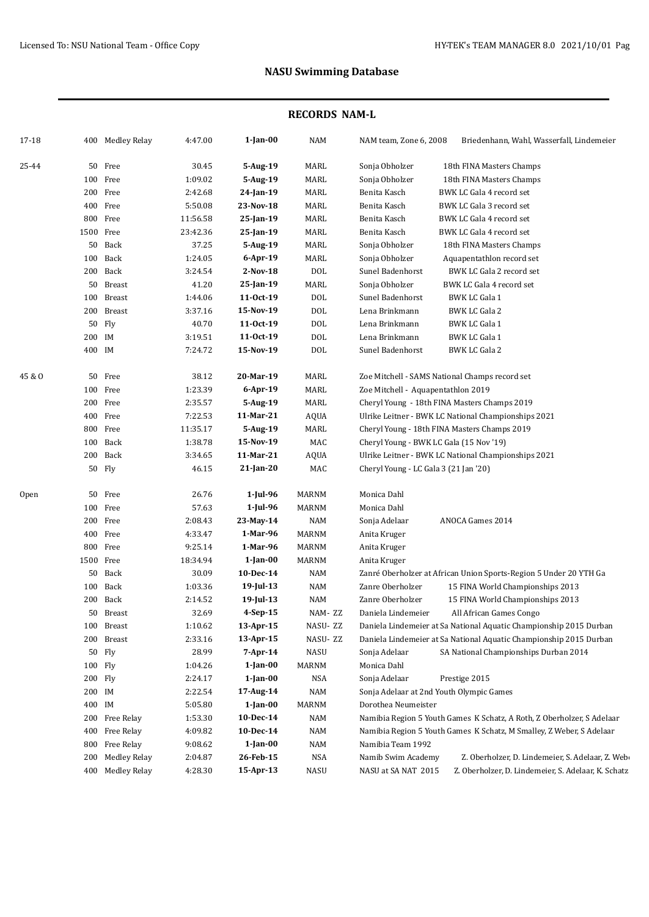| 17-18            |        | 400 Medley Relay    | 4:47.00  | $1$ -Jan-00    | <b>NAM</b>   | NAM team, Zone 6, 2008<br>Briedenhann, Wahl, Wasserfall, Lindemeier        |
|------------------|--------|---------------------|----------|----------------|--------------|----------------------------------------------------------------------------|
| 25-44            |        | 50 Free             | 30.45    | 5-Aug-19       | MARL         | Sonja Obholzer<br>18th FINA Masters Champs                                 |
|                  |        | 100 Free            | 1:09.02  | 5-Aug-19       | MARL         | Sonja Obholzer<br>18th FINA Masters Champs                                 |
|                  |        | 200 Free            | 2:42.68  | 24-Jan-19      | MARL         | BWK LC Gala 4 record set<br>Benita Kasch                                   |
|                  |        | 400 Free            | 5:50.08  | 23-Nov-18      | MARL         | Benita Kasch<br>BWK LC Gala 3 record set                                   |
|                  | 800    | Free                | 11:56.58 | 25-Jan-19      | MARL         | Benita Kasch<br>BWK LC Gala 4 record set                                   |
|                  |        | 1500 Free           | 23:42.36 | 25-Jan-19      | MARL         | Benita Kasch<br>BWK LC Gala 4 record set                                   |
|                  | 50     | Back                | 37.25    | $5-Aug-19$     | MARL         | Sonja Obholzer<br>18th FINA Masters Champs                                 |
|                  | 100    | Back                | 1:24.05  | $6$ -Apr-19    | MARL         | Sonja Obholzer<br>Aquapentathlon record set                                |
|                  | 200    | Back                | 3:24.54  | $2-Nov-18$     | <b>DOL</b>   | Sunel Badenhorst<br>BWK LC Gala 2 record set                               |
|                  | 50     | <b>Breast</b>       | 41.20    | 25-Jan-19      | MARL         | Sonja Obholzer<br>BWK LC Gala 4 record set                                 |
|                  | 100    | Breast              | 1:44.06  | $11-0ct-19$    | $\text{DOL}$ | Sunel Badenhorst<br><b>BWK LC Gala 1</b>                                   |
|                  |        | 200 Breast          | 3:37.16  | 15-Nov-19      | $\text{DOL}$ | Lena Brinkmann<br><b>BWK LC Gala 2</b>                                     |
|                  | 50     | Fly                 | 40.70    | 11-0ct-19      | $\text{DOL}$ | Lena Brinkmann<br><b>BWK LC Gala 1</b>                                     |
|                  | 200 IM |                     | 3:19.51  | 11-0ct-19      | $\text{DOL}$ | Lena Brinkmann<br><b>BWK LC Gala 1</b>                                     |
|                  | 400 IM |                     | 7:24.72  | 15-Nov-19      | <b>DOL</b>   | Sunel Badenhorst<br><b>BWK LC Gala 2</b>                                   |
| 45 & O           |        | 50 Free             | 38.12    | 20-Mar-19      | MARL         | Zoe Mitchell - SAMS National Champs record set                             |
|                  |        | 100 Free            | 1:23.39  | 6-Apr-19       | <b>MARL</b>  | Zoe Mitchell - Aquapentathlon 2019                                         |
|                  |        | 200 Free            | 2:35.57  | 5-Aug-19       | <b>MARL</b>  | Cheryl Young - 18th FINA Masters Champs 2019                               |
|                  |        | 400 Free            | 7:22.53  | 11-Mar-21      | <b>AQUA</b>  | Ulrike Leitner - BWK LC National Championships 2021                        |
|                  |        | 800 Free            | 11:35.17 | 5-Aug-19       | <b>MARL</b>  | Cheryl Young - 18th FINA Masters Champs 2019                               |
|                  | 100    | Back                | 1:38.78  | 15-Nov-19      | MAC          | Cheryl Young - BWK LC Gala (15 Nov '19)                                    |
|                  | 200    | Back                | 3:34.65  | 11-Mar-21      | AQUA         | Ulrike Leitner - BWK LC National Championships 2021                        |
|                  |        | 50 Fly              | 46.15    | 21-Jan-20      | MAC          | Cheryl Young - LC Gala 3 (21 Jan '20)                                      |
| 0 <sub>pen</sub> |        | 50 Free             | 26.76    | 1-Jul-96       | <b>MARNM</b> | Monica Dahl                                                                |
|                  |        | 100 Free            | 57.63    | $1$ -Jul-96    | <b>MARNM</b> | Monica Dahl                                                                |
|                  |        | 200 Free            | 2:08.43  | 23-May-14      | <b>NAM</b>   | ANOCA Games 2014<br>Sonja Adelaar                                          |
|                  |        | 400 Free            | 4:33.47  | 1-Mar-96       | <b>MARNM</b> | Anita Kruger                                                               |
|                  |        | 800 Free            | 9:25.14  | 1-Mar-96       | <b>MARNM</b> | Anita Kruger                                                               |
|                  |        | 1500 Free           | 18:34.94 | $1$ -Jan-00    | <b>MARNM</b> | Anita Kruger                                                               |
|                  | 50     | Back                | 30.09    | 10-Dec-14      | NAM          | Zanré Oberholzer at African Union Sports-Region 5 Under 20 YTH Ga          |
|                  |        | 100 Back            | 1:03.36  | 19-Jul-13      | NAM          | Zanre Oberholzer<br>15 FINA World Championships 2013                       |
|                  | 200    | Back                | 2:14.52  | 19-Jul-13      | <b>NAM</b>   | Zanre Oberholzer<br>15 FINA World Championships 2013                       |
|                  | 50     | Breast              | 32.69    | 4-Sep-15       | NAM-ZZ       | Daniela Lindemeier<br>All African Games Congo                              |
|                  |        | 100 Breast          | 1:10.62  | 13-Apr-15      | NASU- ZZ     | Daniela Lindemeier at Sa National Aquatic Championship 2015 Durban         |
|                  |        | 200 Breast          | 2:33.16  | 13-Apr-15      | NASU-ZZ      | Daniela Lindemeier at Sa National Aquatic Championship 2015 Durban         |
|                  |        | 50 Fly              | 28.99    | $7 - Apr - 14$ | <b>NASU</b>  | Sonja Adelaar<br>SA National Championships Durban 2014                     |
|                  |        | 100 Fly             | 1:04.26  | $1$ -Jan-00    | <b>MARNM</b> | Monica Dahl                                                                |
|                  |        | 200 Fly             | 2:24.17  | 1-Jan-00       | NSA          | Sonja Adelaar<br>Prestige 2015                                             |
|                  | 200 IM |                     | 2:22.54  | 17-Aug-14      | NAM          | Sonja Adelaar at 2nd Youth Olympic Games                                   |
|                  | 400 IM |                     | 5:05.80  | $1$ -Jan- $00$ | MARNM        | Dorothea Neumeister                                                        |
|                  |        | 200 Free Relay      | 1:53.30  | 10-Dec-14      | NAM          | Namibia Region 5 Youth Games K Schatz, A Roth, Z Oberholzer, S Adelaar     |
|                  | 400    | Free Relay          | 4:09.82  | 10-Dec-14      | NAM          | Namibia Region 5 Youth Games K Schatz, M Smalley, Z Weber, S Adelaar       |
|                  | 800    | Free Relay          | 9:08.62  | 1-Jan-00       | NAM          | Namibia Team 1992                                                          |
|                  | 200    | <b>Medley Relay</b> | 2:04.87  | 26-Feb-15      | NSA          | Namib Swim Academy<br>Z. Oberholzer, D. Lindemeier, S. Adelaar, Z. Web-    |
|                  | 400    | <b>Medley Relay</b> | 4:28.30  | 15-Apr-13      | NASU         | NASU at SA NAT 2015<br>Z. Oberholzer, D. Lindemeier, S. Adelaar, K. Schatz |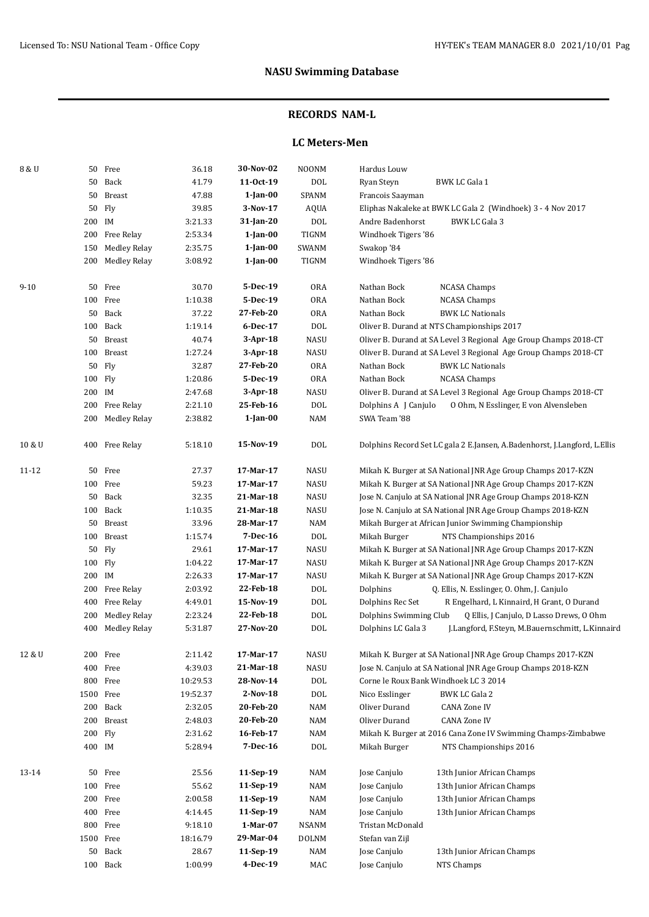### **RECORDS NAM-L**

### **LC Meters-Men**

| 8 & U     |        | 50 Free             | 36.18    | 30-Nov-02      | <b>NOONM</b> | Hardus Louw                                                               |
|-----------|--------|---------------------|----------|----------------|--------------|---------------------------------------------------------------------------|
|           | 50     | Back                | 41.79    | 11-0ct-19      | <b>DOL</b>   | Ryan Steyn<br>BWK LC Gala 1                                               |
|           | 50     | <b>Breast</b>       | 47.88    | $1$ -Jan-00    | SPANM        | Francois Saayman                                                          |
|           | 50     | Fly                 | 39.85    | 3-Nov-17       | AQUA         | Eliphas Nakaleke at BWK LC Gala 2 (Windhoek) 3 - 4 Nov 2017               |
|           | 200 IM |                     | 3:21.33  | 31-Jan-20      | <b>DOL</b>   | Andre Badenhorst<br><b>BWK LC Gala 3</b>                                  |
|           | 200    | Free Relay          | 2:53.34  | $1$ -Jan- $00$ | <b>TIGNM</b> | Windhoek Tigers '86                                                       |
|           | 150    | <b>Medley Relay</b> | 2:35.75  | $1$ -Jan- $00$ | SWANM        | Swakop '84                                                                |
|           |        | 200 Medley Relay    | 3:08.92  | $1$ -Jan- $00$ | TIGNM        | Windhoek Tigers '86                                                       |
|           |        |                     |          |                |              |                                                                           |
| $9 - 10$  |        | 50 Free             | 30.70    | 5-Dec-19       | <b>ORA</b>   | Nathan Bock<br><b>NCASA Champs</b>                                        |
|           |        | 100 Free            | 1:10.38  | 5-Dec-19       | <b>ORA</b>   | Nathan Bock<br><b>NCASA Champs</b>                                        |
|           |        | 50 Back             | 37.22    | 27-Feb-20      | <b>ORA</b>   | Nathan Bock<br><b>BWK LC Nationals</b>                                    |
|           |        | 100 Back            | 1:19.14  | 6-Dec-17       | <b>DOL</b>   | Oliver B. Durand at NTS Championships 2017                                |
|           |        | 50 Breast           | 40.74    | 3-Apr-18       | NASU         | Oliver B. Durand at SA Level 3 Regional Age Group Champs 2018-CT          |
|           |        | 100 Breast          | 1:27.24  | 3-Apr-18       | NASU         | Oliver B. Durand at SA Level 3 Regional Age Group Champs 2018-CT          |
|           |        | 50 Fly              | 32.87    | 27-Feb-20      | <b>ORA</b>   | Nathan Bock<br><b>BWK LC Nationals</b>                                    |
|           |        | 100 Fly             | 1:20.86  | 5-Dec-19       | <b>ORA</b>   | Nathan Bock<br><b>NCASA Champs</b>                                        |
|           | 200 IM |                     | 2:47.68  | $3-Apr-18$     | NASU         | Oliver B. Durand at SA Level 3 Regional Age Group Champs 2018-CT          |
|           |        | 200 Free Relay      | 2:21.10  | 25-Feb-16      | <b>DOL</b>   | Dolphins A J Canjulo<br>0 Ohm, N Esslinger, E von Alvensleben             |
|           |        | 200 Medley Relay    | 2:38.82  | $1$ -Jan- $00$ | <b>NAM</b>   | SWA Team '88                                                              |
| 10 & U    |        | 400 Free Relay      | 5:18.10  | 15-Nov-19      | <b>DOL</b>   | Dolphins Record Set LC gala 2 E.Jansen, A.Badenhorst, J.Langford, L.Ellis |
| 11-12     |        | 50 Free             | 27.37    | 17-Mar-17      | <b>NASU</b>  | Mikah K. Burger at SA National JNR Age Group Champs 2017-KZN              |
|           |        | 100 Free            | 59.23    | 17-Mar-17      | NASU         | Mikah K. Burger at SA National JNR Age Group Champs 2017-KZN              |
|           |        | 50 Back             | 32.35    | 21-Mar-18      | <b>NASU</b>  | Jose N. Canjulo at SA National JNR Age Group Champs 2018-KZN              |
|           |        | 100 Back            | 1:10.35  | 21-Mar-18      | <b>NASU</b>  | Jose N. Canjulo at SA National JNR Age Group Champs 2018-KZN              |
|           |        | 50 Breast           | 33.96    | 28-Mar-17      | <b>NAM</b>   | Mikah Burger at African Junior Swimming Championship                      |
|           |        | 100 Breast          | 1:15.74  | 7-Dec-16       | $\text{DOL}$ | Mikah Burger<br>NTS Championships 2016                                    |
|           |        | 50 Fly              | 29.61    | 17-Mar-17      | <b>NASU</b>  | Mikah K. Burger at SA National JNR Age Group Champs 2017-KZN              |
|           |        | 100 Fly             | 1:04.22  | 17-Mar-17      | <b>NASU</b>  | Mikah K. Burger at SA National JNR Age Group Champs 2017-KZN              |
|           | 200 IM |                     | 2:26.33  | 17-Mar-17      | <b>NASU</b>  | Mikah K. Burger at SA National JNR Age Group Champs 2017-KZN              |
|           | 200    | Free Relay          | 2:03.92  | 22-Feb-18      | $\text{DOL}$ | Q. Ellis, N. Esslinger, O. Ohm, J. Canjulo<br>Dolphins                    |
|           | 400    | Free Relay          | 4:49.01  | 15-Nov-19      | $\text{DOL}$ | Dolphins Rec Set<br>R Engelhard, L Kinnaird, H Grant, O Durand            |
|           | 200    | Medley Relay        | 2:23.24  | 22-Feb-18      | <b>DOL</b>   | Dolphins Swimming Club<br>Q Ellis, J Canjulo, D Lasso Drews, O Ohm        |
|           |        | 400 Medley Relay    | 5:31.87  | 27-Nov-20      | <b>DOL</b>   | Dolphins LC Gala 3<br>J.Langford, F.Steyn, M.Bauernschmitt, L.Kinnaird    |
| 12 & U    |        | 200 Free            | 2:11.42  | 17-Mar-17      | NASU         | Mikah K. Burger at SA National JNR Age Group Champs 2017-KZN              |
|           |        | 400 Free            | 4:39.03  | 21-Mar-18      | NASU         | Jose N. Canjulo at SA National JNR Age Group Champs 2018-KZN              |
|           |        | 800 Free            | 10:29.53 | 28-Nov-14      | DOL          | Corne le Roux Bank Windhoek LC 3 2014                                     |
|           |        | 1500 Free           | 19:52.37 | $2-Nov-18$     | $\rm DOL$    | Nico Esslinger<br>BWK LC Gala 2                                           |
|           |        | 200 Back            | 2:32.05  | 20-Feb-20      | NAM          | Oliver Durand<br>CANA Zone IV                                             |
|           |        | 200 Breast          | 2:48.03  | 20-Feb-20      | NAM          | Oliver Durand<br><b>CANA Zone IV</b>                                      |
|           |        | 200 Fly             | 2:31.62  | 16-Feb-17      | <b>NAM</b>   | Mikah K. Burger at 2016 Cana Zone IV Swimming Champs-Zimbabwe             |
|           | 400 IM |                     | 5:28.94  | $7 - Dec - 16$ | <b>DOL</b>   | Mikah Burger<br>NTS Championships 2016                                    |
| $13 - 14$ |        | 50 Free             | 25.56    | 11-Sep-19      | NAM          | Jose Canjulo<br>13th Junior African Champs                                |
|           |        | 100 Free            | 55.62    | 11-Sep-19      | NAM          | Jose Canjulo<br>13th Junior African Champs                                |
|           |        | 200 Free            | 2:00.58  | 11-Sep-19      | NAM          | Jose Canjulo<br>13th Junior African Champs                                |
|           |        | 400 Free            | 4:14.45  | 11-Sep-19      | NAM          | Jose Canjulo<br>13th Junior African Champs                                |
|           |        | 800 Free            | 9:18.10  | 1-Mar-07       | NSANM        | Tristan McDonald                                                          |
|           |        | 1500 Free           | 18:16.79 | 29-Mar-04      | <b>DOLNM</b> | Stefan van Zijl                                                           |
|           |        | 50 Back             | 28.67    | 11-Sep-19      | NAM          | Jose Canjulo<br>13th Junior African Champs                                |
|           |        | 100 Back            | 1:00.99  | 4-Dec-19       | MAC          | Jose Canjulo<br>NTS Champs                                                |
|           |        |                     |          |                |              |                                                                           |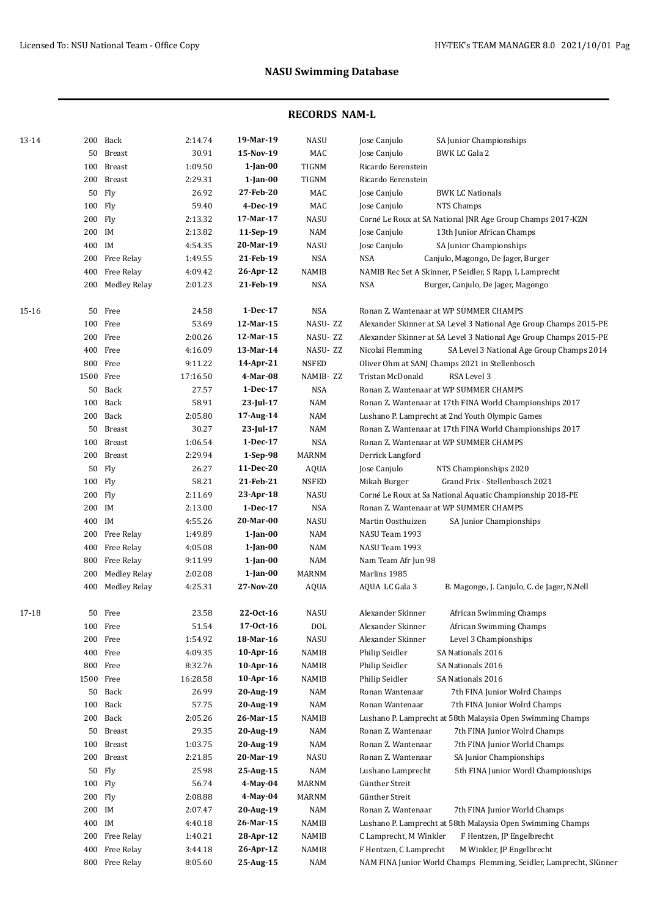| 13-14 |         | 200 Back               | 2:14.74  | 19-Mar-19      | NASU           | Jose Canjulo<br>SA Junior Championships                            |
|-------|---------|------------------------|----------|----------------|----------------|--------------------------------------------------------------------|
|       | 50      | <b>Breast</b>          | 30.91    | 15-Nov-19      | MAC            | Jose Canjulo<br>BWK LC Gala 2                                      |
|       | 100     | <b>Breast</b>          | 1:09.50  | $1$ -Jan- $00$ | TIGNM          | Ricardo Eerenstein                                                 |
|       | 200     | <b>Breast</b>          | 2:29.31  | $1$ -Jan- $00$ | TIGNM          | Ricardo Eerenstein                                                 |
|       | 50      | Fly                    | 26.92    | 27-Feb-20      | MAC            | Jose Canjulo<br><b>BWK LC Nationals</b>                            |
|       | 100 Fly |                        | 59.40    | 4-Dec-19       | MAC            | Jose Canjulo<br>NTS Champs                                         |
|       | 200 Fly |                        | 2:13.32  | 17-Mar-17      | NASU           | Corné Le Roux at SA National JNR Age Group Champs 2017-KZN         |
|       | 200 IM  |                        | 2:13.82  | 11-Sep-19      | NAM            | Jose Canjulo<br>13th Junior African Champs                         |
|       | 400 IM  |                        | 4:54.35  | 20-Mar-19      | <b>NASU</b>    | Jose Canjulo<br>SA Junior Championships                            |
|       | 200     | Free Relay             | 1:49.55  | 21-Feb-19      | <b>NSA</b>     | <b>NSA</b><br>Canjulo, Magongo, De Jager, Burger                   |
|       | 400     | Free Relay             | 4:09.42  | 26-Apr-12      | NAMIB          | NAMIB Rec Set A Skinner, P Seidler, S Rapp, L Lamprecht            |
|       | 200     | Medley Relay           | 2:01.23  | 21-Feb-19      | <b>NSA</b>     | <b>NSA</b><br>Burger, Canjulo, De Jager, Magongo                   |
| 15-16 | 50      | Free                   | 24.58    | 1-Dec-17       | NSA            | Ronan Z. Wantenaar at WP SUMMER CHAMPS                             |
|       | 100     | Free                   | 53.69    | 12-Mar-15      | NASU-ZZ        | Alexander Skinner at SA Level 3 National Age Group Champs 2015-PE  |
|       |         | 200 Free               | 2:00.26  | 12-Mar-15      | NASU-ZZ        | Alexander Skinner at SA Level 3 National Age Group Champs 2015-PE  |
|       |         | 400 Free               | 4:16.09  | 13-Mar-14      | NASU-ZZ        | SA Level 3 National Age Group Champs 2014<br>Nicolai Flemming      |
|       |         | 800 Free               | 9:11.22  | 14-Apr-21      | <b>NSFED</b>   | Oliver Ohm at SANJ Champs 2021 in Stellenbosch                     |
|       |         | 1500 Free              | 17:16.50 | 4-Mar-08       | NAMIB-ZZ       | Tristan McDonald<br>RSA Level 3                                    |
|       |         | 50 Back                | 27.57    | 1-Dec-17       | <b>NSA</b>     | Ronan Z. Wantenaar at WP SUMMER CHAMPS                             |
|       |         | 100 Back               | 58.91    | 23-Jul-17      | NAM            | Ronan Z. Wantenaar at 17th FINA World Championships 2017           |
|       |         | 200 Back               | 2:05.80  | 17-Aug-14      | NAM            | Lushano P. Lamprecht at 2nd Youth Olympic Games                    |
|       |         | 50 Breast              | 30.27    | 23-Jul-17      | NAM            | Ronan Z. Wantenaar at 17th FINA World Championships 2017           |
|       | 100     | <b>Breast</b>          | 1:06.54  | 1-Dec-17       | <b>NSA</b>     | Ronan Z. Wantenaar at WP SUMMER CHAMPS                             |
|       | 200     | Breast                 | 2:29.94  | $1-Sep-98$     | MARNM          | Derrick Langford                                                   |
|       |         | 50 Fly                 | 26.27    | 11-Dec-20      | AQUA           | Jose Canjulo<br>NTS Championships 2020                             |
|       | 100 Fly |                        | 58.21    | 21-Feb-21      | <b>NSFED</b>   | Grand Prix - Stellenbosch 2021<br>Mikah Burger                     |
|       | 200 Fly |                        | 2:11.69  | 23-Apr-18      | <b>NASU</b>    | Corné Le Roux at Sa National Aquatic Championship 2018-PE          |
|       | 200 IM  |                        | 2:13.00  | 1-Dec-17       | <b>NSA</b>     | Ronan Z. Wantenaar at WP SUMMER CHAMPS                             |
|       | 400 IM  |                        | 4:55.26  | 20-Mar-00      | NASU           | Martin Oosthuizen<br>SA Junior Championships                       |
|       |         | 200 Free Relay         | 1:49.89  | $1$ -Jan- $00$ | NAM            | NASU Team 1993                                                     |
|       |         | 400 Free Relay         | 4:05.08  | $1$ -Jan- $00$ | NAM            | NASU Team 1993                                                     |
|       | 800     | Free Relay             | 9:11.99  | $1$ -Jan- $00$ | NAM            | Nam Team Afr Jun 98                                                |
|       | 200     | <b>Medley Relay</b>    | 2:02.08  | $1$ -Jan- $00$ | <b>MARNM</b>   | Marlins 1985                                                       |
|       |         | 400 Medley Relay       | 4:25.31  | 27-Nov-20      | <b>AQUA</b>    | AQUA LC Gala 3<br>B. Magongo, J. Canjulo, C. de Jager, N.Nell      |
| 17-18 |         | 50 Free                | 23.58    | 22-Oct-16      | <b>NASU</b>    | Alexander Skinner<br>African Swimming Champs                       |
|       |         | 100 Free               | 51.54    | 17-Oct-16      | DOL            | Alexander Skinner<br>African Swimming Champs                       |
|       |         | 200 Free               | 1:54.92  | 18-Mar-16      | NASU           | Alexander Skinner<br>Level 3 Championships                         |
|       |         | 400 Free               | 4:09.35  | 10-Apr-16      | NAMIB          | Philip Seidler<br>SA Nationals 2016                                |
|       |         | 800 Free               | 8:32.76  | 10-Apr-16      | NAMIB          | Philip Seidler<br>SA Nationals 2016                                |
|       |         | 1500 Free              | 16:28.58 | 10-Apr-16      | NAMIB          | Philip Seidler<br>SA Nationals 2016                                |
|       |         | 50 Back                | 26.99    | 20-Aug-19      | <b>NAM</b>     | Ronan Wantenaar<br>7th FINA Junior Wolrd Champs                    |
|       |         | 100 Back               | 57.75    | 20-Aug-19      | $\textsf{NAM}$ | Ronan Wantenaar<br>7th FINA Junior Wolrd Champs                    |
|       |         | 200 Back               | 2:05.26  | 26-Mar-15      | NAMIB          | Lushano P. Lamprecht at 58th Malaysia Open Swimming Champs         |
|       | 50      | Breast                 | 29.35    | 20-Aug-19      | <b>NAM</b>     | Ronan Z. Wantenaar<br>7th FINA Junior Wolrd Champs                 |
|       | 100     | $\operatorname{Breat}$ | 1:03.75  | 20-Aug-19      | NAM            | Ronan Z. Wantenaar<br>7th FINA Junior World Champs                 |
|       | 200     | Breast                 | 2:21.85  | 20-Mar-19      | NASU           | Ronan Z. Wantenaar<br>SA Junior Championships                      |
|       | 50      | Fly                    | 25.98    | 25-Aug-15      | NAM            | Lushano Lamprecht<br>5th FINA Junior Wordl Championships           |
|       | 100 Fly |                        | 56.74    | 4-May-04       | MARNM          | Günther Streit                                                     |
|       | 200 Fly |                        | 2:08.88  | 4-May-04       | MARNM          | Günther Streit                                                     |
|       | 200 IM  |                        | 2:07.47  | 20-Aug-19      | NAM            | Ronan Z. Wantenaar<br>7th FINA Junior World Champs                 |
|       | 400 IM  |                        | 4:40.18  | 26-Mar-15      | NAMIB          | Lushano P. Lamprecht at 58th Malaysia Open Swimming Champs         |
|       | 200     | Free Relay             | 1:40.21  | 28-Apr-12      | NAMIB          | C Lamprecht, M Winkler<br>F Hentzen, JP Engelbrecht                |
|       | 400     | Free Relay             | 3:44.18  | 26-Apr-12      | NAMIB          | F Hentzen, C Lamprecht<br>M Winkler, JP Engelbrecht                |
|       | 800     | Free Relay             | 8:05.60  | 25-Aug-15      | NAM            | NAM FINA Junior World Champs Flemming, Seidler, Lamprecht, SKinner |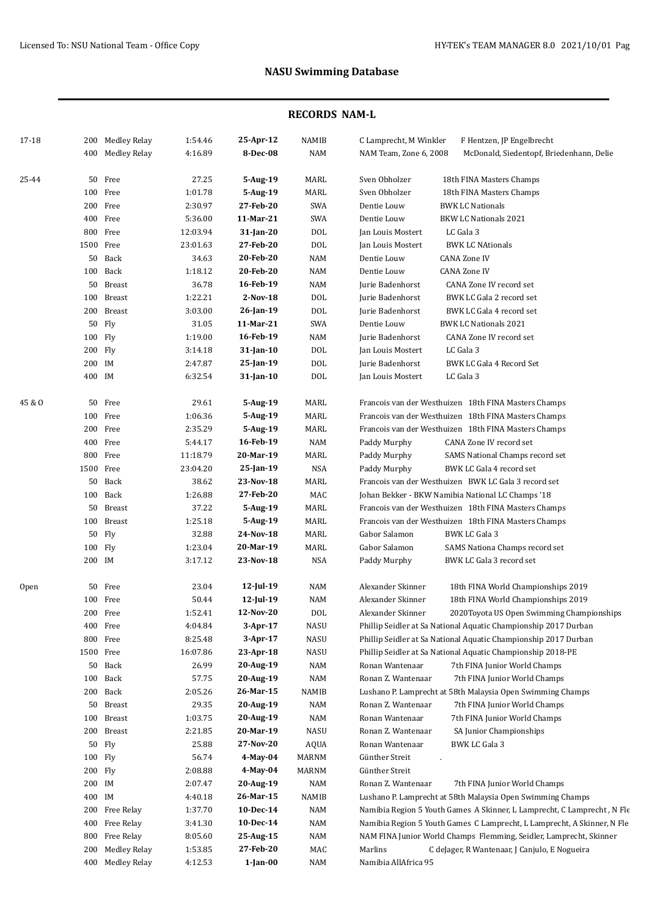| 17-18  |           | 200 Medley Relay | 1:54.46  | 25-Apr-12    | NAMIB        | C Lamprecht, M Winkler<br>F Hentzen, JP Engelbrecht                                |
|--------|-----------|------------------|----------|--------------|--------------|------------------------------------------------------------------------------------|
|        |           | 400 Medley Relay | 4:16.89  | 8-Dec-08     | NAM          | NAM Team, Zone 6, 2008<br>McDonald, Siedentopf, Briedenhann, Delie                 |
|        |           |                  |          |              |              |                                                                                    |
| 25-44  |           | 50 Free          | 27.25    | 5-Aug-19     | MARL         | Sven Obholzer<br>18th FINA Masters Champs                                          |
|        |           | 100 Free         | 1:01.78  | 5-Aug-19     | MARL         | Sven Obholzer<br>18th FINA Masters Champs                                          |
|        |           | 200 Free         | 2:30.97  | 27-Feb-20    | <b>SWA</b>   | Dentie Louw<br><b>BWK LC Nationals</b>                                             |
|        |           | 400 Free         | 5:36.00  | 11-Mar-21    | SWA          | Dentie Louw<br><b>BKW LC Nationals 2021</b>                                        |
|        |           | 800 Free         | 12:03.94 | $31$ -Jan-20 | $\text{DOL}$ | LC Gala 3<br>Jan Louis Mostert                                                     |
|        | 1500 Free |                  | 23:01.63 | 27-Feb-20    | <b>DOL</b>   | <b>BWK LC NAtionals</b><br>Jan Louis Mostert                                       |
|        |           | 50 Back          | 34.63    | 20-Feb-20    | NAM          | Dentie Louw<br><b>CANA Zone IV</b>                                                 |
|        |           | 100 Back         | 1:18.12  | 20-Feb-20    | NAM          | Dentie Louw<br><b>CANA Zone IV</b>                                                 |
|        |           | 50 Breast        | 36.78    | 16-Feb-19    | NAM          | Jurie Badenhorst<br>CANA Zone IV record set                                        |
|        |           | 100 Breast       | 1:22.21  | 2-Nov-18     | <b>DOL</b>   | Jurie Badenhorst<br>BWK LC Gala 2 record set                                       |
|        |           | 200 Breast       | 3:03.00  | 26-Jan-19    | DOL          | Jurie Badenhorst<br>BWK LC Gala 4 record set                                       |
|        |           | 50 Fly           | 31.05    | 11-Mar-21    | <b>SWA</b>   | Dentie Louw<br><b>BWK LC Nationals 2021</b>                                        |
|        | 100 Fly   |                  | 1:19.00  | 16-Feb-19    | NAM          | Jurie Badenhorst<br>CANA Zone IV record set                                        |
|        | 200 Flv   |                  | 3:14.18  | 31-Jan-10    | DOL          | Jan Louis Mostert<br>LC Gala 3                                                     |
|        | 200 IM    |                  | 2:47.87  | 25-Jan-19    | DOL          | Jurie Badenhorst<br>BWK LC Gala 4 Record Set                                       |
|        | 400 IM    |                  | 6:32.54  | 31-Jan-10    | <b>DOL</b>   | Jan Louis Mostert<br>LC Gala 3                                                     |
| 45 & O |           | 50 Free          | 29.61    | 5-Aug-19     | MARL         | Francois van der Westhuizen 18th FINA Masters Champs                               |
|        |           | 100 Free         | 1:06.36  | 5-Aug-19     | MARL         | Francois van der Westhuizen 18th FINA Masters Champs                               |
|        |           | 200 Free         | 2:35.29  | 5-Aug-19     | MARL         | Francois van der Westhuizen 18th FINA Masters Champs                               |
|        |           | 400 Free         | 5:44.17  | 16-Feb-19    | <b>NAM</b>   | CANA Zone IV record set<br>Paddy Murphy                                            |
|        |           | 800 Free         | 11:18.79 | 20-Mar-19    | MARL         | Paddy Murphy<br>SAMS National Champs record set                                    |
|        | 1500 Free |                  | 23:04.20 | 25-Jan-19    | <b>NSA</b>   | Paddy Murphy<br>BWK LC Gala 4 record set                                           |
|        |           | 50 Back          | 38.62    | 23-Nov-18    | MARL         | Francois van der Westhuizen BWK LC Gala 3 record set                               |
|        |           | 100 Back         | 1:26.88  | 27-Feb-20    | MAC          | Johan Bekker - BKW Namibia National LC Champs '18                                  |
|        |           | 50 Breast        | 37.22    | 5-Aug-19     | MARL         | Francois van der Westhuizen 18th FINA Masters Champs                               |
|        |           | 100 Breast       | 1:25.18  | 5-Aug-19     | MARL         | Francois van der Westhuizen 18th FINA Masters Champs                               |
|        |           | 50 Fly           | 32.88    | 24-Nov-18    | MARL         | Gabor Salamon<br>BWK LC Gala 3                                                     |
|        | 100 Fly   |                  | 1:23.04  | 20-Mar-19    | MARL         | Gabor Salamon<br>SAMS Nationa Champs record set                                    |
|        | 200 IM    |                  | 3:17.12  | 23-Nov-18    | <b>NSA</b>   | Paddy Murphy<br>BWK LC Gala 3 record set                                           |
|        |           |                  |          |              |              |                                                                                    |
| Open   |           | 50 Free          | 23.04    | 12-Jul-19    | NAM          | Alexander Skinner<br>18th FINA World Championships 2019                            |
|        |           | 100 Free         | 50.44    | $12$ -Jul-19 | <b>NAM</b>   | Alexander Skinner<br>18th FINA World Championships 2019                            |
|        |           | 200 Free         | 1:52.41  | 12-Nov-20    | <b>DOL</b>   | Alexander Skinner<br>2020Toyota US Open Swimming Championships                     |
|        |           | 400 Free         | 4:04.84  | $3-Apr-17$   | NASU         | Phillip Seidler at Sa National Aquatic Championship 2017 Durban                    |
|        |           | 800 Free         | 8:25.48  | 3-Apr-17     | NASU         | Phillip Seidler at Sa National Aquatic Championship 2017 Durban                    |
|        | 1500 Free |                  | 16:07.86 | 23-Apr-18    | NASU         | Phillip Seidler at Sa National Aquatic Championship 2018-PE                        |
|        |           | 50 Back          | 26.99    | 20-Aug-19    | NAM          | Ronan Wantenaar<br>7th FINA Junior World Champs                                    |
|        |           | 100 Back         | 57.75    | 20-Aug-19    | NAM          | Ronan Z. Wantenaar<br>7th FINA Junior World Champs                                 |
|        |           | 200 Back         | 2:05.26  | 26-Mar-15    | NAMIB        | Lushano P. Lamprecht at 58th Malaysia Open Swimming Champs                         |
|        |           | 50 Breast        | 29.35    | 20-Aug-19    | NAM          | Ronan Z. Wantenaar<br>7th FINA Junior World Champs<br>7th FINA Junior World Champs |
|        |           | 100 Breast       | 1:03.75  | 20-Aug-19    | NAM          | Ronan Wantenaar                                                                    |
|        |           | 200 Breast       | 2:21.85  | 20-Mar-19    | NASU         | Ronan Z. Wantenaar<br>SA Junior Championships                                      |
|        |           | 50 Fly           | 25.88    | 27-Nov-20    | <b>AQUA</b>  | Ronan Wantenaar<br>BWK LC Gala 3                                                   |
|        | 100 Fly   |                  | 56.74    | 4-May-04     | <b>MARNM</b> | Günther Streit                                                                     |
|        | 200 Fly   |                  | 2:08.88  | 4-May-04     | MARNM        | Günther Streit                                                                     |
|        | 200 IM    |                  | 2:07.47  | 20-Aug-19    | NAM          | Ronan Z. Wantenaar<br>7th FINA Junior World Champs                                 |
|        | 400 IM    |                  | 4:40.18  | 26-Mar-15    | NAMIB        | Lushano P. Lamprecht at 58th Malaysia Open Swimming Champs                         |
|        |           | 200 Free Relay   | 1:37.70  | 10-Dec-14    | NAM          | Namibia Region 5 Youth Games A Skinner, L Lamprecht, C Lamprecht, N Fle            |
|        |           | 400 Free Relay   | 3:41.30  | 10-Dec-14    | <b>NAM</b>   | Namibia Region 5 Youth Games C Lamprecht, L Lamprecht, A Skinner, N Fle            |
|        |           | 800 Free Relay   | 8:05.60  | 25-Aug-15    | NAM          | NAM FINA Junior World Champs Flemming, Seidler, Lamprecht, Skinner                 |
|        | 200       | Medley Relay     | 1:53.85  | 27-Feb-20    | MAC          | Marlins<br>C deJager, R Wantenaar, J Canjulo, E Nogueira                           |
|        |           | 400 Medley Relay | 4:12.53  | $1$ -Jan-00  | NAM          | Namibia AllAfrica 95                                                               |